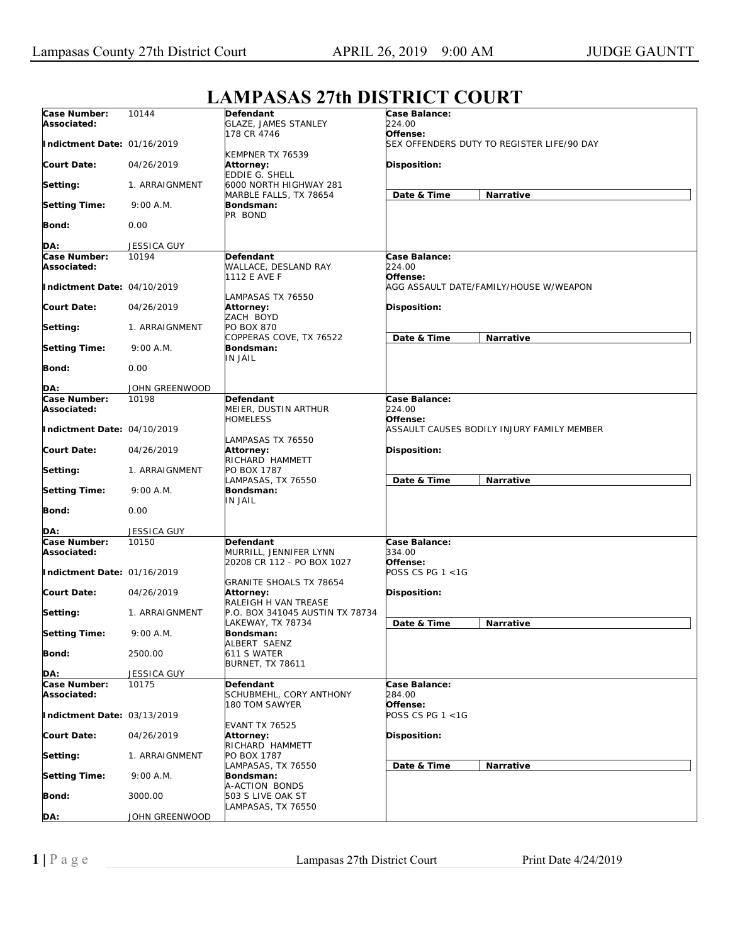## **Case Number: Associated: Indictment Date:**  01/16/2019 **Court Date: Setting: Setting Time: Bond: DA:** 10144 04/26/2019 1. ARRAIGNMENT 9:00 A.M.  $0.00$ JESSICA GUY **Defendant**  GLAZE, JAMES STANLEY 178 CR 4746 KEMPNER TX 76539 **Attorney:**  EDDIE G. SHELL 6000 NORTH HIGHWAY 281 MARBLE FALLS, TX 78654 **Bondsman:**  PR BOND **Case Balance:**  *224.00*  **Offense:**  *SEX OFFENDERS DUTY TO REGISTER LIFE/90 DAY*  **Disposition: Date & Time Narrative Case Number: Associated: Indictment Date:**  04/10/2019 **Court Date: Setting: Setting Time: Bond: DA:** 10194 04/26/2019 1. ARRAIGNMENT 9:00 A.M. 0.00 JOHN GREENWOOD **Defendant**  WALLACE, DESLAND RAY 1112 E AVE F LAMPASAS TX 76550 **Attorney:**  ZACH BOYD PO BOX 870 COPPERAS COVE, TX 76522 **Bondsman:**  IN JAIL **Case Balance:**  *224.00*  **Offense:**  *AGG ASSAULT DATE/FAMILY/HOUSE W/WEAPON*  **Disposition: Date & Time Narrative Case Number: Associated: Indictment Date:**  04/10/2019 **Court Date: Setting: Setting Time: Bond: DA:** 10198 04/26/2019 1. ARRAIGNMENT 9:00 A.M.  $0.00$ JESSICA GUY **Defendant**  MEIER, DUSTIN ARTHUR HOMELESS LAMPASAS TX 76550 **Attorney:**  RICHARD HAMMETT PO BOX 1787 LAMPASAS, TX 76550 **Bondsman:**  IN JAIL **Case Balance:**  *224.00*  **Offense:**  *ASSAULT CAUSES BODILY INJURY FAMILY MEMBER*  **Disposition: Date & Time Narrative Case Number: Associated: Indictment Date:**  01/16/2019 **Court Date: Setting: Setting Time: Bond: DA:** 10150 04/26/2019 1. ARRAIGNMENT 9:00 A.M. 2500.00 JESSICA GUY **Defendant**  MURRILL, JENNIFER LYNN 20208 CR 112 - PO BOX 1027 GRANITE SHOALS TX 78654 **Attorney:**  RALEIGH H VAN TREASE P.O. BOX 341045 AUSTIN TX 78734 LAKEWAY, TX 78734 **Bondsman:**  ALBERT SAENZ 611 S WATER BURNET, TX 78611 **Case Balance:**  *334.00*  **Offense:**  *POSS CS PG 1 <1G*  **Disposition: Date & Time Narrative Case Number: Associated: Indictment Date:**  03/13/2019 **Court Date: Setting: Setting Time: Bond: DA:** 10175 04/26/2019 1. ARRAIGNMENT 9:00 A.M. 3000.00 JOHN GREENWOOD **Defendant**  SCHUBMEHL, CORY ANTHONY 180 TOM SAWYER EVANT TX 76525 **Attorney:**  RICHARD HAMMETT PO BOX 1787 LAMPASAS, TX 76550 **Bondsman:**  A-ACTION BONDS 503 S LIVE OAK ST LAMPASAS, TX 76550 **Case Balance:**  *284.00*  **Offense:**  *POSS CS PG 1 <1G*  **Disposition: Date & Time Narrative**

## **LAMPASAS 27th DISTRICT COURT**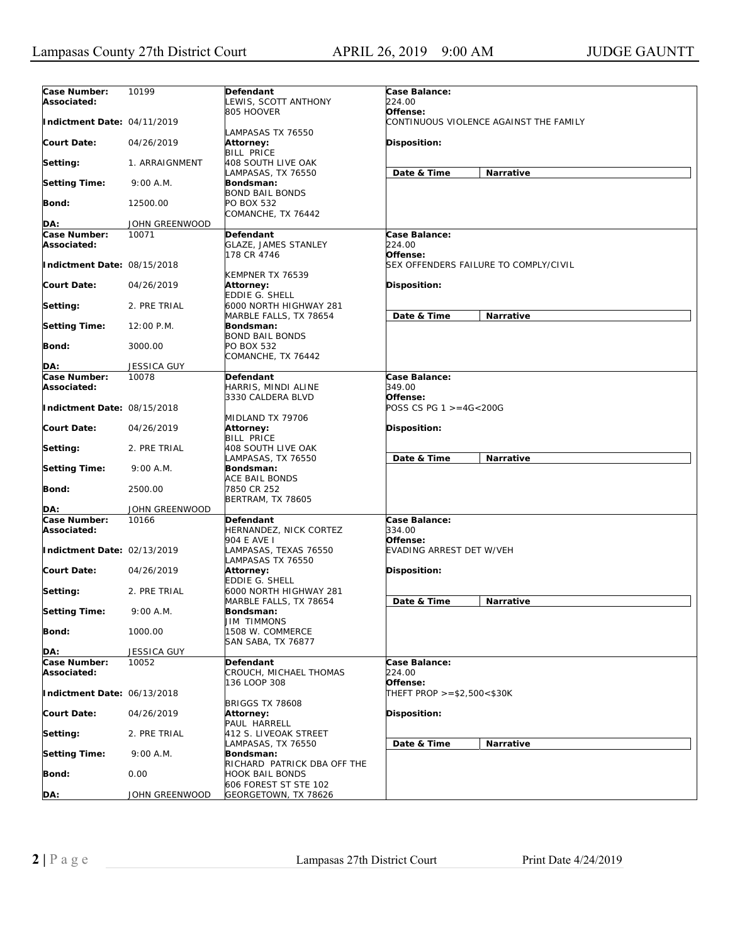| Case Number:<br>Associated: | 10199          | Defendant<br>LEWIS, SCOTT ANTHONY                              | Case Balance:<br>224.00                            |  |
|-----------------------------|----------------|----------------------------------------------------------------|----------------------------------------------------|--|
| Indictment Date: 04/11/2019 |                | 805 HOOVER                                                     | Offense:<br>CONTINUOUS VIOLENCE AGAINST THE FAMILY |  |
| <b>Court Date:</b>          | 04/26/2019     | LAMPASAS TX 76550<br>Attorney:<br><b>BILL PRICE</b>            | Disposition:                                       |  |
| Setting:                    | 1. ARRAIGNMENT | 408 SOUTH LIVE OAK                                             | Narrative                                          |  |
| <b>Setting Time:</b>        | 9:00 A.M.      | LAMPASAS, TX 76550<br>Bondsman:<br><b>BOND BAIL BONDS</b>      | Date & Time                                        |  |
| <b>Bond:</b>                | 12500.00       | PO BOX 532<br>COMANCHE, TX 76442                               |                                                    |  |
| DA:                         |                |                                                                |                                                    |  |
|                             | JOHN GREENWOOD |                                                                |                                                    |  |
| Case Number:<br>Associated: | 10071          | <b>Defendant</b><br><b>GLAZE, JAMES STANLEY</b><br>178 CR 4746 | Case Balance:<br>224.00<br>Offense:                |  |
| Indictment Date: 08/15/2018 |                | KEMPNER TX 76539                                               | SEX OFFENDERS FAILURE TO COMPLY/CIVIL              |  |
| Court Date:                 | 04/26/2019     | <b>Attorney:</b><br><b>EDDIE G. SHELL</b>                      | Disposition:                                       |  |
| Setting:                    | 2. PRE TRIAL   | 6000 NORTH HIGHWAY 281<br>MARBLE FALLS, TX 78654               | Date & Time<br>Narrative                           |  |
| <b>Setting Time:</b>        | 12:00 P.M.     | Bondsman:<br><b>BOND BAIL BONDS</b>                            |                                                    |  |
| Bond:                       | 3000.00        | PO BOX 532<br>COMANCHE, TX 76442                               |                                                    |  |
| DA:                         | JESSICA GUY    |                                                                |                                                    |  |
| Case Number:                | 10078          | Defendant                                                      | Case Balance:                                      |  |
| Associated:                 |                | HARRIS, MINDI ALINE                                            | 349.00                                             |  |
| Indictment Date: 08/15/2018 |                | 3330 CALDERA BLVD                                              | Offense:<br>POSS CS PG 1 >=4G<200G                 |  |
| Court Date:                 | 04/26/2019     | MIDLAND TX 79706<br>Attorney:<br><b>BILL PRICE</b>             | <b>Disposition:</b>                                |  |
| Setting:                    | 2. PRE TRIAL   | 408 SOUTH LIVE OAK<br>LAMPASAS, TX 76550                       | Date & Time<br>Narrative                           |  |
| <b>Setting Time:</b>        | 9:00 A.M.      | Bondsman:<br><b>ACE BAIL BONDS</b>                             |                                                    |  |
| <b>Bond:</b>                | 2500.00        | 7850 CR 252<br>BERTRAM, TX 78605                               |                                                    |  |
| DA:                         | JOHN GREENWOOD |                                                                |                                                    |  |
| Case Number:<br>Associated: | 10166          | Defendant<br>HERNANDEZ, NICK CORTEZ                            | Case Balance:<br>334.00                            |  |
| Indictment Date: 02/13/2019 |                | 904 E AVE I<br>LAMPASAS, TEXAS 76550<br>LAMPASAS TX 76550      | Offense:<br>EVADING ARREST DET W/VEH               |  |
| <b>Court Date:</b>          | 04/26/2019     | <b>Attorney:</b><br><b>EDDIE G. SHELL</b>                      | Disposition:                                       |  |
| Setting:                    | 2. PRE TRIAL   | 6000 NORTH HIGHWAY 281<br>MARBLE FALLS, TX 78654               | Date & Time<br>Narrative                           |  |
| <b>Setting Time:</b>        | 9:00 A.M.      | Bondsman:<br><b>JIM TIMMONS</b>                                |                                                    |  |
| <b>Bond:</b>                | 1000.00        | 1508 W. COMMERCE<br><b>SAN SABA, TX 76877</b>                  |                                                    |  |
| DA:                         | JESSICA GUY    |                                                                |                                                    |  |
| Case Number:                | 10052          | Defendant                                                      | Case Balance:                                      |  |
| Associated:                 |                | CROUCH, MICHAEL THOMAS<br>136 LOOP 308                         | 224.00<br>Offense:                                 |  |
| Indictment Date: 06/13/2018 |                |                                                                | THEFT PROP >=\$2,500<\$30K                         |  |
| <b>Court Date:</b>          | 04/26/2019     | <b>BRIGGS TX 78608</b><br>Attorney:<br>PAUL HARRELL            | Disposition:                                       |  |
| Setting:                    | 2. PRE TRIAL   | 412 S. LIVEOAK STREET<br>LAMPASAS, TX 76550                    | Date & Time<br>Narrative                           |  |
| <b>Setting Time:</b>        | 9:00 A.M.      | Bondsman:                                                      |                                                    |  |
| <b>Bond:</b>                | 0.00           | RICHARD PATRICK DBA OFF THE<br><b>HOOK BAIL BONDS</b>          |                                                    |  |
| DA:                         | JOHN GREENWOOD | 606 FOREST ST STE 102<br>GEORGETOWN, TX 78626                  |                                                    |  |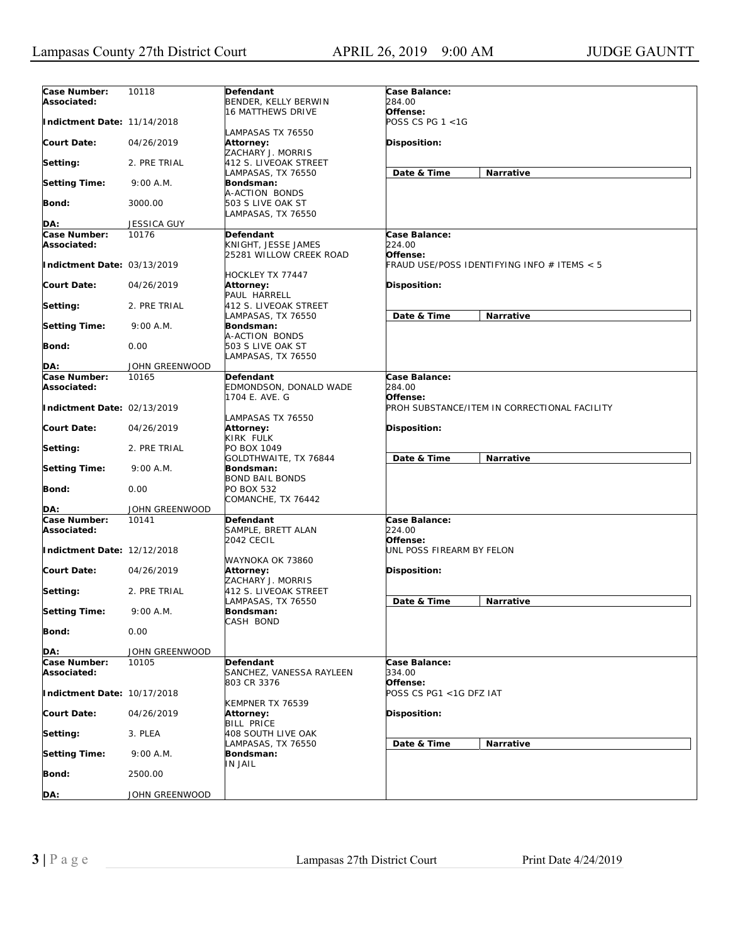| Case Number:<br>Associated: | 10118          | Defendant<br>BENDER, KELLY BERWIN                           | Case Balance:<br>284.00                     |                                              |
|-----------------------------|----------------|-------------------------------------------------------------|---------------------------------------------|----------------------------------------------|
| Indictment Date: 11/14/2018 |                | <b>16 MATTHEWS DRIVE</b>                                    | Offense:<br>POSS CS PG $1 < 1G$             |                                              |
| <b>Court Date:</b>          | 04/26/2019     | LAMPASAS TX 76550<br>Attorney:<br>ZACHARY J. MORRIS         | Disposition:                                |                                              |
| Setting:                    | 2. PRE TRIAL   | 412 S. LIVEOAK STREET                                       | Date & Time                                 | Narrative                                    |
| <b>Setting Time:</b>        | 9:00 A.M.      | LAMPASAS, TX 76550<br>Bondsman:                             |                                             |                                              |
| <b>Bond:</b>                | 3000.00        | A-ACTION BONDS<br>503 S LIVE OAK ST<br>LAMPASAS, TX 76550   |                                             |                                              |
|                             |                |                                                             |                                             |                                              |
| DA:<br>Case Number:         | JESSICA GUY    |                                                             |                                             |                                              |
| Associated:                 | 10176          | Defendant<br>KNIGHT, JESSE JAMES<br>25281 WILLOW CREEK ROAD | Case Balance:<br>224.00<br>Offense:         |                                              |
| Indictment Date: 03/13/2019 |                | HOCKLEY TX 77447                                            | FRAUD USE/POSS IDENTIFYING INFO # ITEMS < 5 |                                              |
| <b>Court Date:</b>          | 04/26/2019     | Attorney:<br>PAUL HARRELL                                   | Disposition:                                |                                              |
| Setting:                    | 2. PRE TRIAL   | 412 S. LIVEOAK STREET<br>LAMPASAS, TX 76550                 | Date & Time                                 | Narrative                                    |
| <b>Setting Time:</b>        | 9:00 A.M.      | Bondsman:<br>A-ACTION BONDS                                 |                                             |                                              |
| <b>Bond:</b>                | 0.00           | 503 S LIVE OAK ST<br>LAMPASAS, TX 76550                     |                                             |                                              |
| DA:                         | JOHN GREENWOOD |                                                             |                                             |                                              |
| Case Number:                | 10165          | Defendant                                                   | Case Balance:                               |                                              |
| Associated:                 |                | EDMONDSON, DONALD WADE<br>1704 E. AVE. G                    | 284.00<br>Offense:                          |                                              |
| Indictment Date: 02/13/2019 |                | LAMPASAS TX 76550                                           |                                             | PROH SUBSTANCE/ITEM IN CORRECTIONAL FACILITY |
| <b>Court Date:</b>          | 04/26/2019     | Attorney:<br>KIRK FULK                                      | Disposition:                                |                                              |
| Setting:                    | 2. PRE TRIAL   | PO BOX 1049<br>GOLDTHWAITE, TX 76844                        | Date & Time                                 | Narrative                                    |
| <b>Setting Time:</b>        | 9:00 A.M.      | Bondsman:<br>BOND BAIL BONDS                                |                                             |                                              |
| <b>Bond:</b>                | 0.00           | PO BOX 532<br>COMANCHE, TX 76442                            |                                             |                                              |
| DA:                         | JOHN GREENWOOD |                                                             |                                             |                                              |
| Case Number:<br>Associated: | 10141          | Defendant<br>SAMPLE, BRETT ALAN<br>2042 CECIL               | Case Balance:<br>224.00<br>Offense:         |                                              |
| Indictment Date: 12/12/2018 |                | WAYNOKA OK 73860                                            | UNL POSS FIREARM BY FELON                   |                                              |
| <b>Court Date:</b>          | 04/26/2019     | Attorney:<br>ZACHARY J. MORRIS                              | Disposition:                                |                                              |
| Setting:                    | 2. PRE TRIAL   | 412 S. LIVEOAK STREET<br>LAMPASAS, TX 76550                 | Date & Time                                 | Narrative                                    |
| <b>Setting Time:</b>        | 9:00 A.M.      | Bondsman:<br>CASH BOND                                      |                                             |                                              |
| <b>Bond:</b>                | 0.00           |                                                             |                                             |                                              |
| DA:                         | JOHN GREENWOOD |                                                             |                                             |                                              |
| Case Number:                | 10105          | Defendant                                                   | Case Balance:                               |                                              |
| Associated:                 |                | SANCHEZ, VANESSA RAYLEEN<br>803 CR 3376                     | 334.00<br>Offense:                          |                                              |
| Indictment Date: 10/17/2018 |                | KEMPNER TX 76539                                            | POSS CS PG1 <1G DFZ IAT                     |                                              |
| <b>Court Date:</b>          | 04/26/2019     | Attorney:<br><b>BILL PRICE</b>                              | Disposition:                                |                                              |
| Setting:                    | 3. PLEA        | <b>408 SOUTH LIVE OAK</b><br>LAMPASAS, TX 76550             | Date & Time                                 | Narrative                                    |
| <b>Setting Time:</b>        | 9:00 A.M.      | Bondsman:<br>IN JAIL                                        |                                             |                                              |
| <b>Bond:</b>                | 2500.00        |                                                             |                                             |                                              |
| DA:                         | JOHN GREENWOOD |                                                             |                                             |                                              |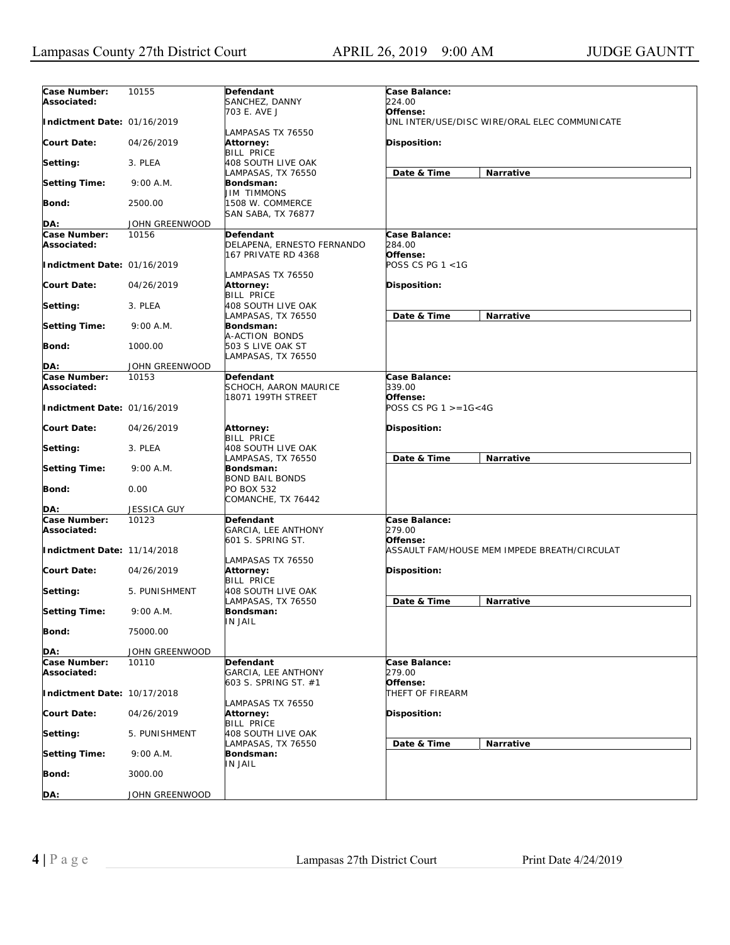| Case Number:<br>Associated: | 10155          | <b>Defendant</b><br>SANCHEZ, DANNY                                    | Case Balance:<br>224.00                                   |  |
|-----------------------------|----------------|-----------------------------------------------------------------------|-----------------------------------------------------------|--|
| Indictment Date: 01/16/2019 |                | 703 E. AVE J                                                          | Offense:<br>UNL INTER/USE/DISC WIRE/ORAL ELEC COMMUNICATE |  |
| <b>Court Date:</b>          | 04/26/2019     | LAMPASAS TX 76550<br>Attorney:<br><b>BILL PRICE</b>                   | Disposition:                                              |  |
| Setting:                    | 3. PLEA        | 408 SOUTH LIVE OAK                                                    |                                                           |  |
| <b>Setting Time:</b>        | 9:00 A.M.      | LAMPASAS, TX 76550<br>Bondsman:                                       | Date & Time<br>Narrative                                  |  |
| Bond:                       | 2500.00        | <b>JIM TIMMONS</b><br>1508 W. COMMERCE                                |                                                           |  |
|                             |                | <b>SAN SABA, TX 76877</b>                                             |                                                           |  |
| DA:                         | JOHN GREENWOOD |                                                                       |                                                           |  |
| Case Number:<br>Associated: | 10156          | <b>Defendant</b><br>DELAPENA, ERNESTO FERNANDO<br>167 PRIVATE RD 4368 | Case Balance:<br>284.00<br>Offense:                       |  |
| Indictment Date: 01/16/2019 |                | LAMPASAS TX 76550                                                     | POSS CS PG 1 <1G                                          |  |
| <b>Court Date:</b>          | 04/26/2019     | Attorney:<br><b>BILL PRICE</b>                                        | <b>Disposition:</b>                                       |  |
| Setting:                    | 3. PLEA        | 408 SOUTH LIVE OAK<br>LAMPASAS, TX 76550                              | Date & Time<br><b>Narrative</b>                           |  |
| <b>Setting Time:</b>        | 9:00 A.M.      | Bondsman:<br>A-ACTION BONDS                                           |                                                           |  |
| Bond:                       | 1000.00        | 503 S LIVE OAK ST<br>LAMPASAS, TX 76550                               |                                                           |  |
| DA:                         | JOHN GREENWOOD |                                                                       |                                                           |  |
| Case Number:                | 10153          | <b>Defendant</b>                                                      | Case Balance:                                             |  |
| Associated:                 |                | SCHOCH, AARON MAURICE                                                 | 339.00                                                    |  |
| Indictment Date: 01/16/2019 |                | 18071 199TH STREET                                                    | Offense:<br>POSS CS PG $1 > = 16 < 4G$                    |  |
| Court Date:                 | 04/26/2019     | Attorney:<br><b>BILL PRICE</b>                                        | <b>Disposition:</b>                                       |  |
| Setting:                    | 3. PLEA        | 408 SOUTH LIVE OAK<br>LAMPASAS, TX 76550                              | Date & Time<br>Narrative                                  |  |
| <b>Setting Time:</b>        | 9:00 A.M.      | Bondsman:<br><b>BOND BAIL BONDS</b>                                   |                                                           |  |
| Bond:                       | 0.00           | PO BOX 532<br>COMANCHE, TX 76442                                      |                                                           |  |
| DA:                         | JESSICA GUY    |                                                                       |                                                           |  |
| Case Number:<br>Associated: | 10123          | Defendant<br>GARCIA, LEE ANTHONY<br>601 S. SPRING ST.                 | Case Balance:<br>279.00<br>Offense:                       |  |
| Indictment Date: 11/14/2018 |                | LAMPASAS TX 76550                                                     | ASSAULT FAM/HOUSE MEM IMPEDE BREATH/CIRCULAT              |  |
| <b>Court Date:</b>          | 04/26/2019     | Attorney:<br><b>BILL PRICE</b>                                        | <b>Disposition:</b>                                       |  |
| Setting:                    | 5. PUNISHMENT  | 408 SOUTH LIVE OAK<br>LAMPASAS, TX 76550                              | Date & Time<br>Narrative                                  |  |
| <b>Setting Time:</b>        | 9:00 A.M.      | Bondsman:<br><b>IN JAIL</b>                                           |                                                           |  |
| Bond:                       | 75000.00       |                                                                       |                                                           |  |
| DA:                         | JOHN GREENWOOD |                                                                       |                                                           |  |
| Case Number:<br>Associated: | 10110          | Defendant<br><b>GARCIA, LEE ANTHONY</b>                               | Case Balance:<br>279.00                                   |  |
| Indictment Date: 10/17/2018 |                | 603 S. SPRING ST. #1                                                  | Offense:<br>THEFT OF FIREARM                              |  |
| <b>Court Date:</b>          | 04/26/2019     | LAMPASAS TX 76550<br>Attorney:                                        | Disposition:                                              |  |
| Setting:                    | 5. PUNISHMENT  | <b>BILL PRICE</b><br>408 SOUTH LIVE OAK                               |                                                           |  |
| <b>Setting Time:</b>        | 9:00 A.M.      | LAMPASAS, TX 76550<br>Bondsman:                                       | Date & Time<br>Narrative                                  |  |
| Bond:                       | 3000.00        | IN JAIL                                                               |                                                           |  |
| DA:                         | JOHN GREENWOOD |                                                                       |                                                           |  |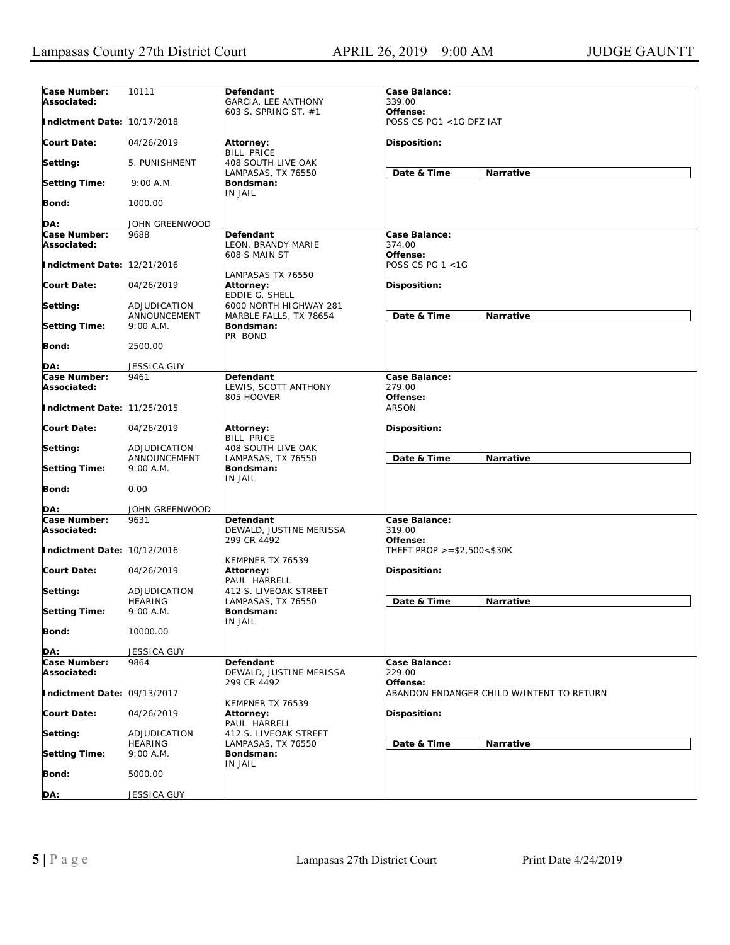| Case Number:<br>Associated: | 10111                          | Defendant<br>GARCIA, LEE ANTHONY                     | Case Balance:<br>339.00                               |  |
|-----------------------------|--------------------------------|------------------------------------------------------|-------------------------------------------------------|--|
| Indictment Date: 10/17/2018 |                                | 603 S. SPRING ST. #1                                 | Offense:<br>POSS CS PG1 <1G DFZ IAT                   |  |
| <b>Court Date:</b>          | 04/26/2019                     | Attorney:<br><b>BILL PRICE</b>                       | Disposition:                                          |  |
| Setting:                    | 5. PUNISHMENT                  | 408 SOUTH LIVE OAK                                   | Narrative                                             |  |
| <b>Setting Time:</b>        | 9:00 A.M.                      | LAMPASAS, TX 76550<br>Bondsman:                      | Date & Time                                           |  |
| Bond:                       | 1000.00                        | <b>IN JAIL</b>                                       |                                                       |  |
| DA:                         | JOHN GREENWOOD                 |                                                      |                                                       |  |
| Case Number:                | 9688                           | Defendant                                            | Case Balance:                                         |  |
| Associated:                 |                                | LEON, BRANDY MARIE<br>608 S MAIN ST                  | 374.00<br>Offense:                                    |  |
| Indictment Date: 12/21/2016 |                                | LAMPASAS TX 76550                                    | POSS CS PG 1 <1G                                      |  |
| <b>Court Date:</b>          | 04/26/2019                     | <b>Attorney:</b><br>EDDIE G. SHELL                   | Disposition:                                          |  |
| Setting:                    | ADJUDICATION<br>ANNOUNCEMENT   | 6000 NORTH HIGHWAY 281<br>MARBLE FALLS, TX 78654     | Date & Time<br>Narrative                              |  |
| <b>Setting Time:</b>        | 9:00 A.M.                      | Bondsman:<br>PR BOND                                 |                                                       |  |
| <b>Bond:</b>                | 2500.00                        |                                                      |                                                       |  |
| DA:                         | <b>JESSICA GUY</b>             |                                                      |                                                       |  |
| Case Number:                | 9461                           | Defendant                                            | Case Balance:                                         |  |
| Associated:                 |                                | LEWIS, SCOTT ANTHONY                                 | 279.00                                                |  |
| Indictment Date: 11/25/2015 |                                | 805 HOOVER                                           | Offense:<br><i>ARSON</i>                              |  |
| <b>Court Date:</b>          | 04/26/2019                     | Attorney:<br><b>BILL PRICE</b>                       | <b>Disposition:</b>                                   |  |
| Setting:                    | ADJUDICATION<br>ANNOUNCEMENT   | 408 SOUTH LIVE OAK<br>LAMPASAS, TX 76550             | Date & Time<br>Narrative                              |  |
| <b>Setting Time:</b>        | 9:00 A.M.                      | Bondsman:<br><b>IN JAIL</b>                          |                                                       |  |
| <b>Bond:</b>                | 0.00                           |                                                      |                                                       |  |
| DA:                         | JOHN GREENWOOD                 |                                                      |                                                       |  |
| Case Number:<br>Associated: | 9631                           | Defendant<br>DEWALD, JUSTINE MERISSA<br>299 CR 4492  | Case Balance:<br>319.00                               |  |
| Indictment Date: 10/12/2016 |                                |                                                      | Offense:<br>THEFT PROP >=\$2,500<\$30K                |  |
| <b>Court Date:</b>          | 04/26/2019                     | KEMPNER TX 76539<br><b>Attorney:</b><br>PAUL HARRELL | <b>Disposition:</b>                                   |  |
| Setting:                    | ADJUDICATION<br><b>HEARING</b> | 412 S. LIVEOAK STREET<br>LAMPASAS, TX 76550          | Date & Time<br>Narrative                              |  |
| <b>Setting Time:</b>        | 9:00A.M.                       | Bondsman:<br>IN JAIL                                 |                                                       |  |
| Bond:                       | 10000.00                       |                                                      |                                                       |  |
| DA:                         | <b>JESSICA GUY</b>             |                                                      |                                                       |  |
| Case Number:<br>Associated: | 9864                           | Defendant<br>DEWALD, JUSTINE MERISSA                 | Case Balance:<br><i>229.00</i>                        |  |
| Indictment Date: 09/13/2017 |                                | 299 CR 4492                                          | Offense:<br>ABANDON ENDANGER CHILD W/INTENT TO RETURN |  |
| <b>Court Date:</b>          | 04/26/2019                     | KEMPNER TX 76539<br>Attorney:<br>PAUL HARRELL        | Disposition:                                          |  |
| Setting:                    | ADJUDICATION                   | 412 S. LIVEOAK STREET                                |                                                       |  |
| <b>Setting Time:</b>        | <b>HEARING</b><br>9:00 A.M.    | LAMPASAS, TX 76550<br>Bondsman:                      | Date & Time<br>Narrative                              |  |
| <b>Bond:</b>                | 5000.00                        | IN JAIL                                              |                                                       |  |
| DA:                         | JESSICA GUY                    |                                                      |                                                       |  |